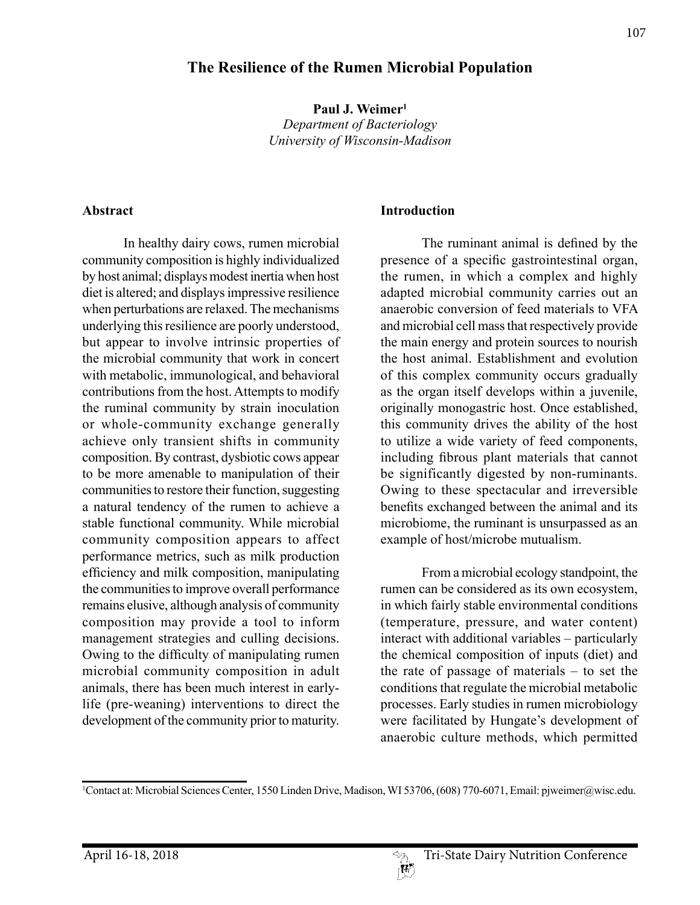# **The Resilience of the Rumen Microbial Population**

**Paul J. Weimer1** *Department of Bacteriology University of Wisconsin-Madison*

#### **Abstract**

In healthy dairy cows, rumen microbial community composition is highly individualized by host animal; displays modest inertia when host diet is altered; and displays impressive resilience when perturbations are relaxed. The mechanisms underlying this resilience are poorly understood, but appear to involve intrinsic properties of the microbial community that work in concert with metabolic, immunological, and behavioral contributions from the host. Attempts to modify the ruminal community by strain inoculation or whole-community exchange generally achieve only transient shifts in community composition. By contrast, dysbiotic cows appear to be more amenable to manipulation of their communities to restore their function, suggesting a natural tendency of the rumen to achieve a stable functional community. While microbial community composition appears to affect performance metrics, such as milk production efficiency and milk composition, manipulating the communities to improve overall performance remains elusive, although analysis of community composition may provide a tool to inform management strategies and culling decisions. Owing to the difficulty of manipulating rumen microbial community composition in adult animals, there has been much interest in earlylife (pre-weaning) interventions to direct the development of the community prior to maturity.

#### **Introduction**

The ruminant animal is defined by the presence of a specific gastrointestinal organ, the rumen, in which a complex and highly adapted microbial community carries out an anaerobic conversion of feed materials to VFA and microbial cell mass that respectively provide the main energy and protein sources to nourish the host animal. Establishment and evolution of this complex community occurs gradually as the organ itself develops within a juvenile, originally monogastric host. Once established, this community drives the ability of the host to utilize a wide variety of feed components, including fibrous plant materials that cannot be significantly digested by non-ruminants. Owing to these spectacular and irreversible benefits exchanged between the animal and its microbiome, the ruminant is unsurpassed as an example of host/microbe mutualism.

From a microbial ecology standpoint, the rumen can be considered as its own ecosystem, in which fairly stable environmental conditions (temperature, pressure, and water content) interact with additional variables – particularly the chemical composition of inputs (diet) and the rate of passage of materials – to set the conditions that regulate the microbial metabolic processes. Early studies in rumen microbiology were facilitated by Hungate's development of anaerobic culture methods, which permitted

<sup>1</sup> Contact at: Microbial Sciences Center, 1550 Linden Drive, Madison, WI 53706, (608) 770-6071, Email: pjweimer@wisc.edu.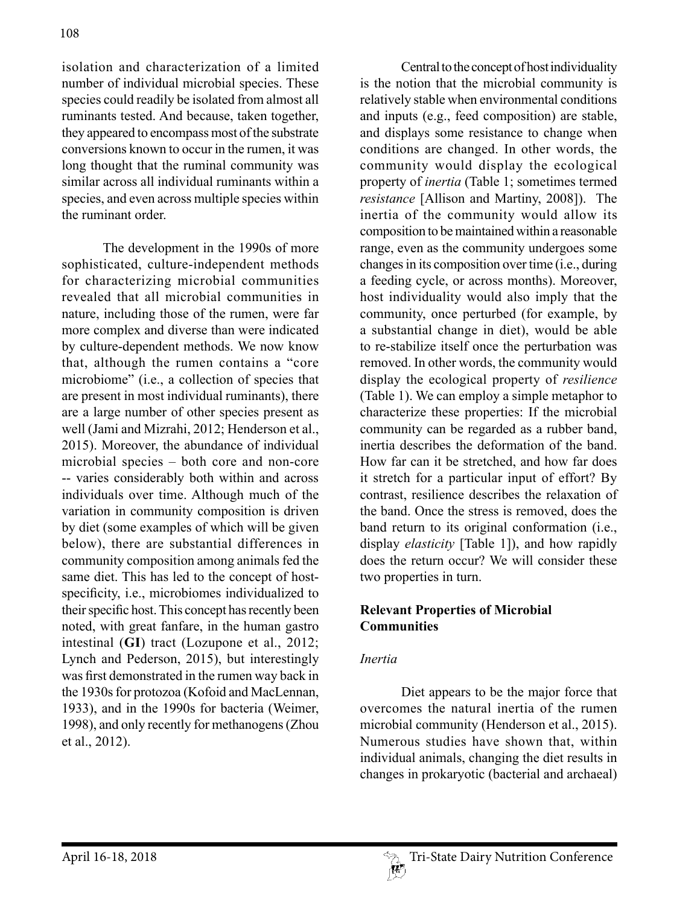isolation and characterization of a limited number of individual microbial species. These species could readily be isolated from almost all ruminants tested. And because, taken together, they appeared to encompass most of the substrate conversions known to occur in the rumen, it was long thought that the ruminal community was similar across all individual ruminants within a species, and even across multiple species within the ruminant order.

The development in the 1990s of more sophisticated, culture-independent methods for characterizing microbial communities revealed that all microbial communities in nature, including those of the rumen, were far more complex and diverse than were indicated by culture-dependent methods. We now know that, although the rumen contains a "core microbiome" (i.e., a collection of species that are present in most individual ruminants), there are a large number of other species present as well (Jami and Mizrahi, 2012; Henderson et al., 2015). Moreover, the abundance of individual microbial species – both core and non-core -- varies considerably both within and across individuals over time. Although much of the variation in community composition is driven by diet (some examples of which will be given below), there are substantial differences in community composition among animals fed the same diet. This has led to the concept of hostspecificity, i.e., microbiomes individualized to their specific host. This concept has recently been noted, with great fanfare, in the human gastro intestinal (**GI**) tract (Lozupone et al., 2012; Lynch and Pederson, 2015), but interestingly was first demonstrated in the rumen way back in the 1930s for protozoa (Kofoid and MacLennan, 1933), and in the 1990s for bacteria (Weimer, 1998), and only recently for methanogens (Zhou et al., 2012).

Central to the concept of host individuality is the notion that the microbial community is relatively stable when environmental conditions and inputs (e.g., feed composition) are stable, and displays some resistance to change when conditions are changed. In other words, the community would display the ecological property of *inertia* (Table 1; sometimes termed *resistance* [Allison and Martiny, 2008]). The inertia of the community would allow its composition to be maintained within a reasonable range, even as the community undergoes some changes in its composition over time (i.e., during a feeding cycle, or across months). Moreover, host individuality would also imply that the community, once perturbed (for example, by a substantial change in diet), would be able to re-stabilize itself once the perturbation was removed. In other words, the community would display the ecological property of *resilience*  (Table 1). We can employ a simple metaphor to characterize these properties: If the microbial community can be regarded as a rubber band, inertia describes the deformation of the band. How far can it be stretched, and how far does it stretch for a particular input of effort? By contrast, resilience describes the relaxation of the band. Once the stress is removed, does the band return to its original conformation (i.e., display *elasticity* [Table 1]), and how rapidly does the return occur? We will consider these two properties in turn.

## **Relevant Properties of Microbial Communities**

### *Inertia*

Diet appears to be the major force that overcomes the natural inertia of the rumen microbial community (Henderson et al., 2015). Numerous studies have shown that, within individual animals, changing the diet results in changes in prokaryotic (bacterial and archaeal)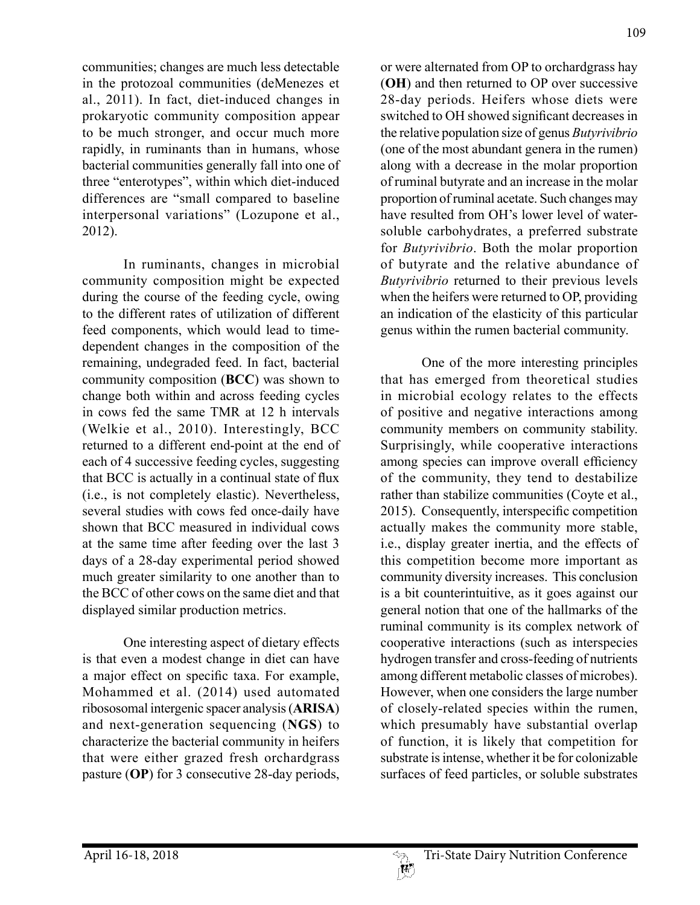communities; changes are much less detectable in the protozoal communities (deMenezes et al., 2011). In fact, diet-induced changes in prokaryotic community composition appear to be much stronger, and occur much more rapidly, in ruminants than in humans, whose bacterial communities generally fall into one of three "enterotypes", within which diet-induced differences are "small compared to baseline interpersonal variations" (Lozupone et al., 2012).

In ruminants, changes in microbial community composition might be expected during the course of the feeding cycle, owing to the different rates of utilization of different feed components, which would lead to timedependent changes in the composition of the remaining, undegraded feed. In fact, bacterial community composition (**BCC**) was shown to change both within and across feeding cycles in cows fed the same TMR at 12 h intervals (Welkie et al., 2010). Interestingly, BCC returned to a different end-point at the end of each of 4 successive feeding cycles, suggesting that BCC is actually in a continual state of flux (i.e., is not completely elastic). Nevertheless, several studies with cows fed once-daily have shown that BCC measured in individual cows at the same time after feeding over the last 3 days of a 28-day experimental period showed much greater similarity to one another than to the BCC of other cows on the same diet and that displayed similar production metrics.

One interesting aspect of dietary effects is that even a modest change in diet can have a major effect on specific taxa. For example, Mohammed et al. (2014) used automated ribososomal intergenic spacer analysis (**ARISA**) and next-generation sequencing (**NGS**) to characterize the bacterial community in heifers that were either grazed fresh orchardgrass pasture (**OP**) for 3 consecutive 28-day periods,

or were alternated from OP to orchardgrass hay (**OH**) and then returned to OP over successive 28-day periods. Heifers whose diets were switched to OH showed significant decreases in the relative population size of genus *Butyrivibrio*  (one of the most abundant genera in the rumen) along with a decrease in the molar proportion of ruminal butyrate and an increase in the molar proportion of ruminal acetate. Such changes may have resulted from OH's lower level of watersoluble carbohydrates, a preferred substrate for *Butyrivibrio*. Both the molar proportion of butyrate and the relative abundance of *Butyrivibrio* returned to their previous levels when the heifers were returned to OP, providing an indication of the elasticity of this particular genus within the rumen bacterial community.

One of the more interesting principles that has emerged from theoretical studies in microbial ecology relates to the effects of positive and negative interactions among community members on community stability. Surprisingly, while cooperative interactions among species can improve overall efficiency of the community, they tend to destabilize rather than stabilize communities (Coyte et al., 2015). Consequently, interspecific competition actually makes the community more stable, i.e., display greater inertia, and the effects of this competition become more important as community diversity increases. This conclusion is a bit counterintuitive, as it goes against our general notion that one of the hallmarks of the ruminal community is its complex network of cooperative interactions (such as interspecies hydrogen transfer and cross-feeding of nutrients among different metabolic classes of microbes). However, when one considers the large number of closely-related species within the rumen, which presumably have substantial overlap of function, it is likely that competition for substrate is intense, whether it be for colonizable surfaces of feed particles, or soluble substrates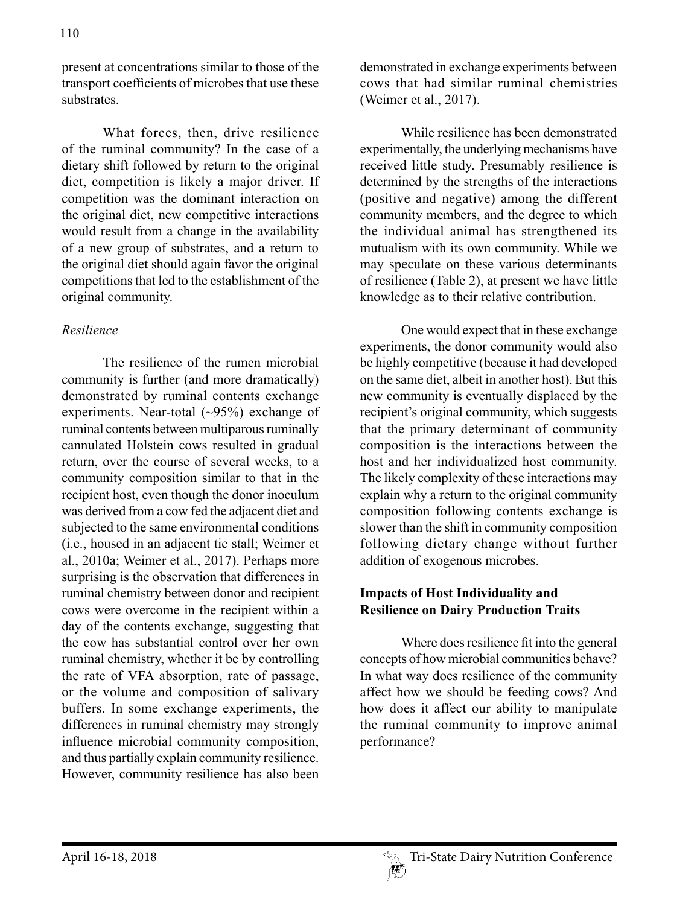present at concentrations similar to those of the transport coefficients of microbes that use these substrates.

What forces, then, drive resilience of the ruminal community? In the case of a dietary shift followed by return to the original diet, competition is likely a major driver. If competition was the dominant interaction on the original diet, new competitive interactions would result from a change in the availability of a new group of substrates, and a return to the original diet should again favor the original competitions that led to the establishment of the original community.

## *Resilience*

The resilience of the rumen microbial community is further (and more dramatically) demonstrated by ruminal contents exchange experiments. Near-total  $(\sim)5\%$  exchange of ruminal contents between multiparous ruminally cannulated Holstein cows resulted in gradual return, over the course of several weeks, to a community composition similar to that in the recipient host, even though the donor inoculum was derived from a cow fed the adjacent diet and subjected to the same environmental conditions (i.e., housed in an adjacent tie stall; Weimer et al., 2010a; Weimer et al., 2017). Perhaps more surprising is the observation that differences in ruminal chemistry between donor and recipient cows were overcome in the recipient within a day of the contents exchange, suggesting that the cow has substantial control over her own ruminal chemistry, whether it be by controlling the rate of VFA absorption, rate of passage, or the volume and composition of salivary buffers. In some exchange experiments, the differences in ruminal chemistry may strongly influence microbial community composition, and thus partially explain community resilience. However, community resilience has also been

demonstrated in exchange experiments between cows that had similar ruminal chemistries (Weimer et al., 2017).

While resilience has been demonstrated experimentally, the underlying mechanisms have received little study. Presumably resilience is determined by the strengths of the interactions (positive and negative) among the different community members, and the degree to which the individual animal has strengthened its mutualism with its own community. While we may speculate on these various determinants of resilience (Table 2), at present we have little knowledge as to their relative contribution.

One would expect that in these exchange experiments, the donor community would also be highly competitive (because it had developed on the same diet, albeit in another host). But this new community is eventually displaced by the recipient's original community, which suggests that the primary determinant of community composition is the interactions between the host and her individualized host community. The likely complexity of these interactions may explain why a return to the original community composition following contents exchange is slower than the shift in community composition following dietary change without further addition of exogenous microbes.

# **Impacts of Host Individuality and Resilience on Dairy Production Traits**

Where does resilience fit into the general concepts of how microbial communities behave? In what way does resilience of the community affect how we should be feeding cows? And how does it affect our ability to manipulate the ruminal community to improve animal performance?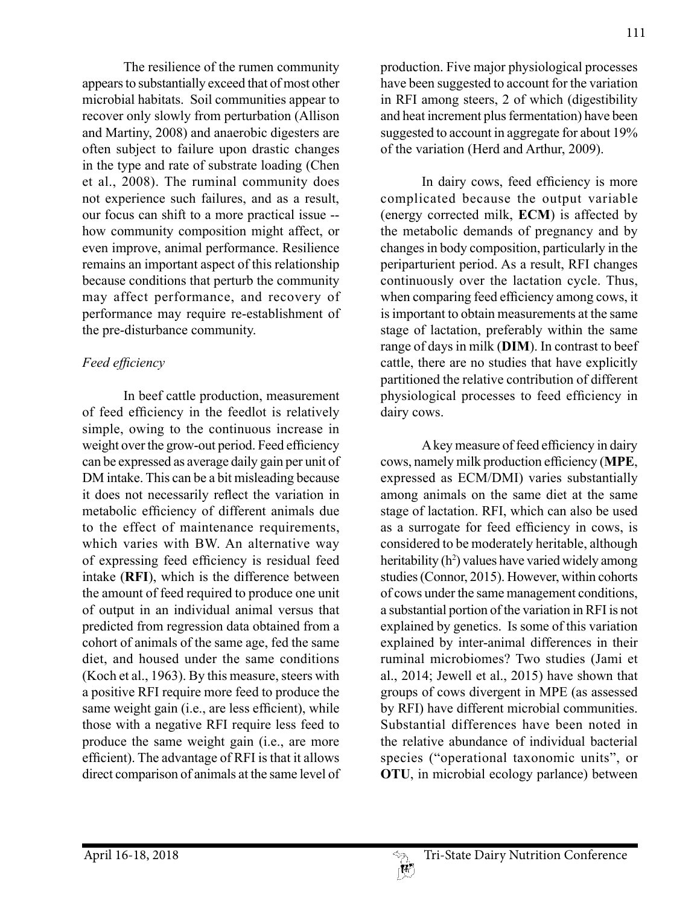The resilience of the rumen community appears to substantially exceed that of most other microbial habitats. Soil communities appear to recover only slowly from perturbation (Allison and Martiny, 2008) and anaerobic digesters are often subject to failure upon drastic changes in the type and rate of substrate loading (Chen et al., 2008). The ruminal community does not experience such failures, and as a result, our focus can shift to a more practical issue - how community composition might affect, or even improve, animal performance. Resilience remains an important aspect of this relationship because conditions that perturb the community may affect performance, and recovery of performance may require re-establishment of the pre-disturbance community.

# *Feed efficiency*

In beef cattle production, measurement of feed efficiency in the feedlot is relatively simple, owing to the continuous increase in weight over the grow-out period. Feed efficiency can be expressed as average daily gain per unit of DM intake. This can be a bit misleading because it does not necessarily reflect the variation in metabolic efficiency of different animals due to the effect of maintenance requirements, which varies with BW. An alternative way of expressing feed efficiency is residual feed intake (**RFI**), which is the difference between the amount of feed required to produce one unit of output in an individual animal versus that predicted from regression data obtained from a cohort of animals of the same age, fed the same diet, and housed under the same conditions (Koch et al., 1963). By this measure, steers with a positive RFI require more feed to produce the same weight gain (i.e., are less efficient), while those with a negative RFI require less feed to produce the same weight gain (i.e., are more efficient). The advantage of RFI is that it allows direct comparison of animals at the same level of

production. Five major physiological processes have been suggested to account for the variation in RFI among steers, 2 of which (digestibility and heat increment plus fermentation) have been suggested to account in aggregate for about 19% of the variation (Herd and Arthur, 2009).

In dairy cows, feed efficiency is more complicated because the output variable (energy corrected milk, **ECM**) is affected by the metabolic demands of pregnancy and by changes in body composition, particularly in the periparturient period. As a result, RFI changes continuously over the lactation cycle. Thus, when comparing feed efficiency among cows, it is important to obtain measurements at the same stage of lactation, preferably within the same range of days in milk (**DIM**). In contrast to beef cattle, there are no studies that have explicitly partitioned the relative contribution of different physiological processes to feed efficiency in dairy cows.

A key measure of feed efficiency in dairy cows, namely milk production efficiency (**MPE**, expressed as ECM/DMI) varies substantially among animals on the same diet at the same stage of lactation. RFI, which can also be used as a surrogate for feed efficiency in cows, is considered to be moderately heritable, although heritability (h<sup>2</sup>) values have varied widely among studies (Connor, 2015). However, within cohorts of cows under the same management conditions, a substantial portion of the variation in RFI is not explained by genetics. Is some of this variation explained by inter-animal differences in their ruminal microbiomes? Two studies (Jami et al., 2014; Jewell et al., 2015) have shown that groups of cows divergent in MPE (as assessed by RFI) have different microbial communities. Substantial differences have been noted in the relative abundance of individual bacterial species ("operational taxonomic units", or **OTU**, in microbial ecology parlance) between

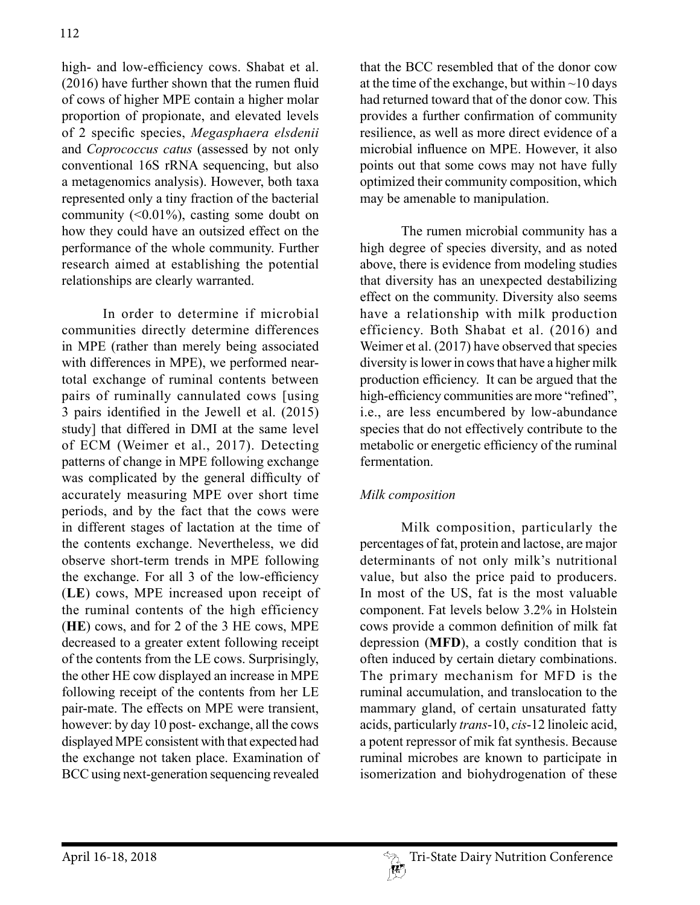high- and low-efficiency cows. Shabat et al. (2016) have further shown that the rumen fluid of cows of higher MPE contain a higher molar proportion of propionate, and elevated levels of 2 specific species, *Megasphaera elsdenii*  and *Coprococcus catus* (assessed by not only conventional 16S rRNA sequencing, but also a metagenomics analysis). However, both taxa represented only a tiny fraction of the bacterial community  $(0.01\%)$ , casting some doubt on how they could have an outsized effect on the performance of the whole community. Further research aimed at establishing the potential relationships are clearly warranted.

In order to determine if microbial communities directly determine differences in MPE (rather than merely being associated with differences in MPE), we performed neartotal exchange of ruminal contents between pairs of ruminally cannulated cows [using 3 pairs identified in the Jewell et al. (2015) study] that differed in DMI at the same level of ECM (Weimer et al., 2017). Detecting patterns of change in MPE following exchange was complicated by the general difficulty of accurately measuring MPE over short time periods, and by the fact that the cows were in different stages of lactation at the time of the contents exchange. Nevertheless, we did observe short-term trends in MPE following the exchange. For all 3 of the low-efficiency (**LE**) cows, MPE increased upon receipt of the ruminal contents of the high efficiency (**HE**) cows, and for 2 of the 3 HE cows, MPE decreased to a greater extent following receipt of the contents from the LE cows. Surprisingly, the other HE cow displayed an increase in MPE following receipt of the contents from her LE pair-mate. The effects on MPE were transient, however: by day 10 post- exchange, all the cows displayed MPE consistent with that expected had the exchange not taken place. Examination of BCC using next-generation sequencing revealed

that the BCC resembled that of the donor cow at the time of the exchange, but within  $\sim$ 10 days had returned toward that of the donor cow. This provides a further confirmation of community resilience, as well as more direct evidence of a microbial influence on MPE. However, it also points out that some cows may not have fully optimized their community composition, which may be amenable to manipulation.

The rumen microbial community has a high degree of species diversity, and as noted above, there is evidence from modeling studies that diversity has an unexpected destabilizing effect on the community. Diversity also seems have a relationship with milk production efficiency. Both Shabat et al. (2016) and Weimer et al. (2017) have observed that species diversity is lower in cows that have a higher milk production efficiency. It can be argued that the high-efficiency communities are more "refined", i.e., are less encumbered by low-abundance species that do not effectively contribute to the metabolic or energetic efficiency of the ruminal fermentation.

# *Milk composition*

Milk composition, particularly the percentages of fat, protein and lactose, are major determinants of not only milk's nutritional value, but also the price paid to producers. In most of the US, fat is the most valuable component. Fat levels below 3.2% in Holstein cows provide a common definition of milk fat depression (**MFD**), a costly condition that is often induced by certain dietary combinations. The primary mechanism for MFD is the ruminal accumulation, and translocation to the mammary gland, of certain unsaturated fatty acids, particularly *trans*-10, *cis*-12 linoleic acid, a potent repressor of mik fat synthesis. Because ruminal microbes are known to participate in isomerization and biohydrogenation of these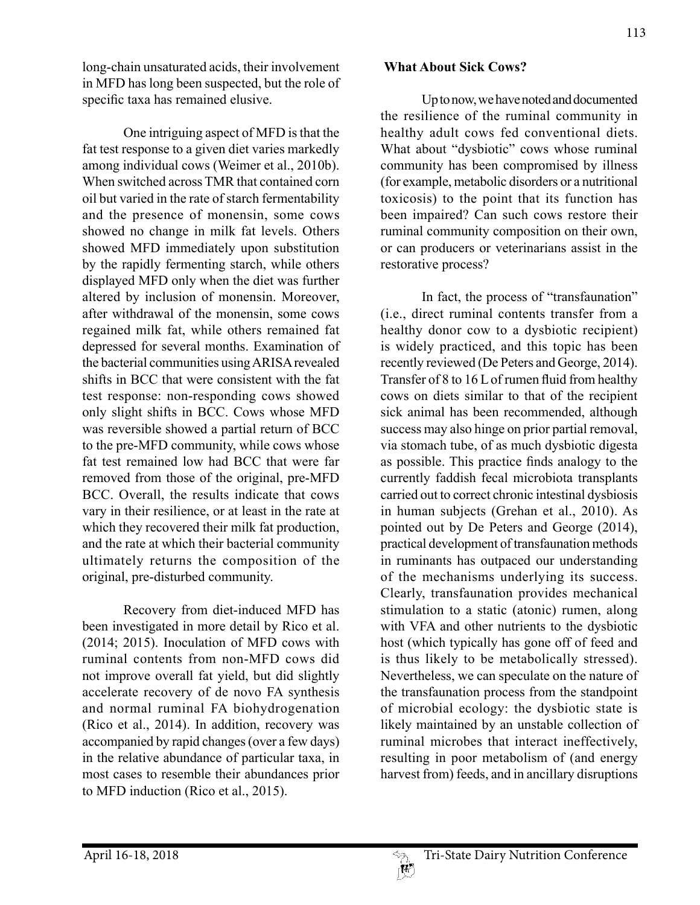long-chain unsaturated acids, their involvement in MFD has long been suspected, but the role of specific taxa has remained elusive.

One intriguing aspect of MFD is that the fat test response to a given diet varies markedly among individual cows (Weimer et al., 2010b). When switched across TMR that contained corn oil but varied in the rate of starch fermentability and the presence of monensin, some cows showed no change in milk fat levels. Others showed MFD immediately upon substitution by the rapidly fermenting starch, while others displayed MFD only when the diet was further altered by inclusion of monensin. Moreover, after withdrawal of the monensin, some cows regained milk fat, while others remained fat depressed for several months. Examination of the bacterial communities using ARISA revealed shifts in BCC that were consistent with the fat test response: non-responding cows showed only slight shifts in BCC. Cows whose MFD was reversible showed a partial return of BCC to the pre-MFD community, while cows whose fat test remained low had BCC that were far removed from those of the original, pre-MFD BCC. Overall, the results indicate that cows vary in their resilience, or at least in the rate at which they recovered their milk fat production, and the rate at which their bacterial community ultimately returns the composition of the original, pre-disturbed community.

Recovery from diet-induced MFD has been investigated in more detail by Rico et al. (2014; 2015). Inoculation of MFD cows with ruminal contents from non-MFD cows did not improve overall fat yield, but did slightly accelerate recovery of de novo FA synthesis and normal ruminal FA biohydrogenation (Rico et al., 2014). In addition, recovery was accompanied by rapid changes (over a few days) in the relative abundance of particular taxa, in most cases to resemble their abundances prior to MFD induction (Rico et al., 2015).

#### **What About Sick Cows?**

Up to now, we have noted and documented the resilience of the ruminal community in healthy adult cows fed conventional diets. What about "dysbiotic" cows whose ruminal community has been compromised by illness (for example, metabolic disorders or a nutritional toxicosis) to the point that its function has been impaired? Can such cows restore their ruminal community composition on their own, or can producers or veterinarians assist in the restorative process?

In fact, the process of "transfaunation" (i.e., direct ruminal contents transfer from a healthy donor cow to a dysbiotic recipient) is widely practiced, and this topic has been recently reviewed (De Peters and George, 2014). Transfer of 8 to 16 L of rumen fluid from healthy cows on diets similar to that of the recipient sick animal has been recommended, although success may also hinge on prior partial removal, via stomach tube, of as much dysbiotic digesta as possible. This practice finds analogy to the currently faddish fecal microbiota transplants carried out to correct chronic intestinal dysbiosis in human subjects (Grehan et al., 2010). As pointed out by De Peters and George (2014), practical development of transfaunation methods in ruminants has outpaced our understanding of the mechanisms underlying its success. Clearly, transfaunation provides mechanical stimulation to a static (atonic) rumen, along with VFA and other nutrients to the dysbiotic host (which typically has gone off of feed and is thus likely to be metabolically stressed). Nevertheless, we can speculate on the nature of the transfaunation process from the standpoint of microbial ecology: the dysbiotic state is likely maintained by an unstable collection of ruminal microbes that interact ineffectively, resulting in poor metabolism of (and energy harvest from) feeds, and in ancillary disruptions

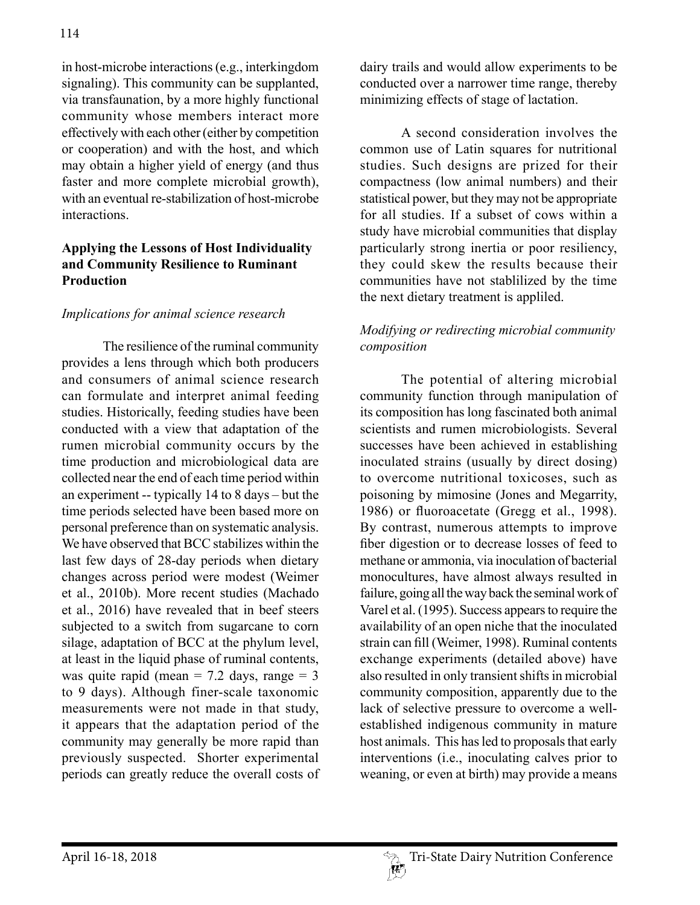in host-microbe interactions (e.g., interkingdom signaling). This community can be supplanted, via transfaunation, by a more highly functional community whose members interact more effectively with each other (either by competition or cooperation) and with the host, and which may obtain a higher yield of energy (and thus faster and more complete microbial growth), with an eventual re-stabilization of host-microbe interactions.

# **Applying the Lessons of Host Individuality and Community Resilience to Ruminant Production**

## *Implications for animal science research*

The resilience of the ruminal community provides a lens through which both producers and consumers of animal science research can formulate and interpret animal feeding studies. Historically, feeding studies have been conducted with a view that adaptation of the rumen microbial community occurs by the time production and microbiological data are collected near the end of each time period within an experiment -- typically 14 to 8 days – but the time periods selected have been based more on personal preference than on systematic analysis. We have observed that BCC stabilizes within the last few days of 28-day periods when dietary changes across period were modest (Weimer et al., 2010b). More recent studies (Machado et al., 2016) have revealed that in beef steers subjected to a switch from sugarcane to corn silage, adaptation of BCC at the phylum level, at least in the liquid phase of ruminal contents, was quite rapid (mean =  $7.2$  days, range =  $3$ to 9 days). Although finer-scale taxonomic measurements were not made in that study, it appears that the adaptation period of the community may generally be more rapid than previously suspected. Shorter experimental periods can greatly reduce the overall costs of dairy trails and would allow experiments to be conducted over a narrower time range, thereby minimizing effects of stage of lactation.

A second consideration involves the common use of Latin squares for nutritional studies. Such designs are prized for their compactness (low animal numbers) and their statistical power, but they may not be appropriate for all studies. If a subset of cows within a study have microbial communities that display particularly strong inertia or poor resiliency, they could skew the results because their communities have not stablilized by the time the next dietary treatment is appliled.

# *Modifying or redirecting microbial community composition*

The potential of altering microbial community function through manipulation of its composition has long fascinated both animal scientists and rumen microbiologists. Several successes have been achieved in establishing inoculated strains (usually by direct dosing) to overcome nutritional toxicoses, such as poisoning by mimosine (Jones and Megarrity, 1986) or fluoroacetate (Gregg et al., 1998). By contrast, numerous attempts to improve fiber digestion or to decrease losses of feed to methane or ammonia, via inoculation of bacterial monocultures, have almost always resulted in failure, going all the way back the seminal work of Varel et al. (1995). Success appears to require the availability of an open niche that the inoculated strain can fill (Weimer, 1998). Ruminal contents exchange experiments (detailed above) have also resulted in only transient shifts in microbial community composition, apparently due to the lack of selective pressure to overcome a wellestablished indigenous community in mature host animals. This has led to proposals that early interventions (i.e., inoculating calves prior to weaning, or even at birth) may provide a means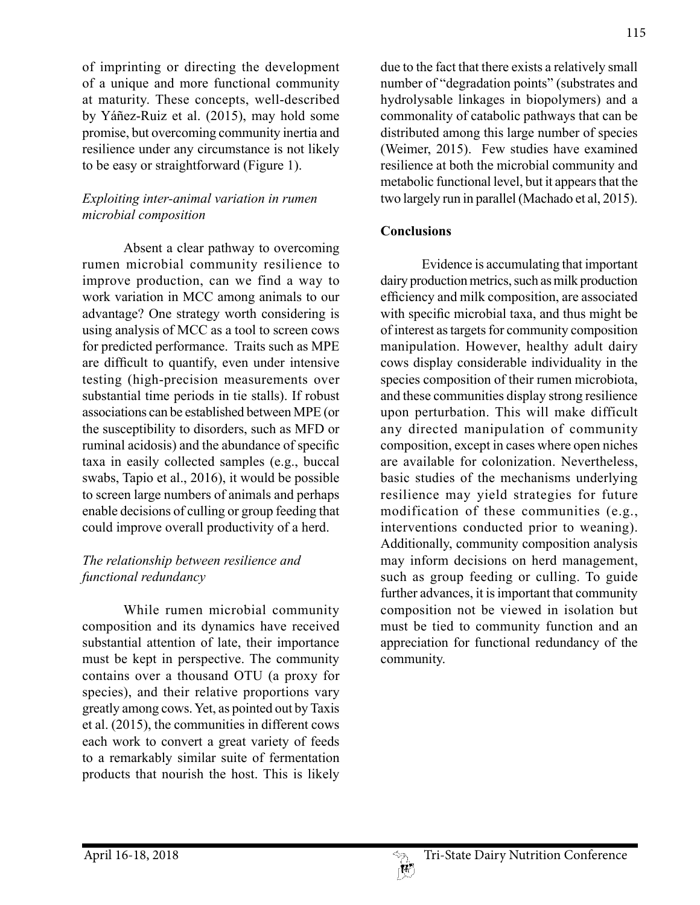of imprinting or directing the development of a unique and more functional community at maturity. These concepts, well-described by Yáñez-Ruiz et al. (2015), may hold some promise, but overcoming community inertia and resilience under any circumstance is not likely to be easy or straightforward (Figure 1).

## *Exploiting inter-animal variation in rumen microbial composition*

Absent a clear pathway to overcoming rumen microbial community resilience to improve production, can we find a way to work variation in MCC among animals to our advantage? One strategy worth considering is using analysis of MCC as a tool to screen cows for predicted performance. Traits such as MPE are difficult to quantify, even under intensive testing (high-precision measurements over substantial time periods in tie stalls). If robust associations can be established between MPE (or the susceptibility to disorders, such as MFD or ruminal acidosis) and the abundance of specific taxa in easily collected samples (e.g., buccal swabs, Tapio et al., 2016), it would be possible to screen large numbers of animals and perhaps enable decisions of culling or group feeding that could improve overall productivity of a herd.

# *The relationship between resilience and functional redundancy*

While rumen microbial community composition and its dynamics have received substantial attention of late, their importance must be kept in perspective. The community contains over a thousand OTU (a proxy for species), and their relative proportions vary greatly among cows. Yet, as pointed out by Taxis et al. (2015), the communities in different cows each work to convert a great variety of feeds to a remarkably similar suite of fermentation products that nourish the host. This is likely

due to the fact that there exists a relatively small number of "degradation points" (substrates and hydrolysable linkages in biopolymers) and a commonality of catabolic pathways that can be distributed among this large number of species (Weimer, 2015). Few studies have examined resilience at both the microbial community and metabolic functional level, but it appears that the two largely run in parallel (Machado et al, 2015).

## **Conclusions**

Evidence is accumulating that important dairy production metrics, such as milk production efficiency and milk composition, are associated with specific microbial taxa, and thus might be of interest as targets for community composition manipulation. However, healthy adult dairy cows display considerable individuality in the species composition of their rumen microbiota, and these communities display strong resilience upon perturbation. This will make difficult any directed manipulation of community composition, except in cases where open niches are available for colonization. Nevertheless, basic studies of the mechanisms underlying resilience may yield strategies for future modification of these communities (e.g., interventions conducted prior to weaning). Additionally, community composition analysis may inform decisions on herd management, such as group feeding or culling. To guide further advances, it is important that community composition not be viewed in isolation but must be tied to community function and an appreciation for functional redundancy of the community.

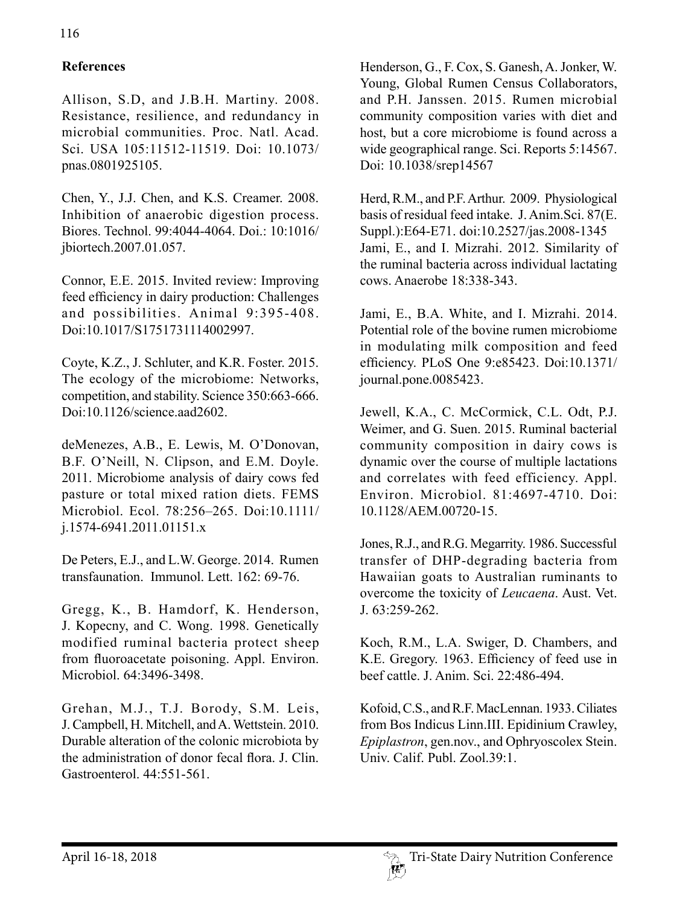# **References**

Allison, S.D, and J.B.H. Martiny. 2008. Resistance, resilience, and redundancy in microbial communities. Proc. Natl. Acad. Sci. USA 105:11512-11519. Doi: 10.1073/ pnas.0801925105.

Chen, Y., J.J. Chen, and K.S. Creamer. 2008. Inhibition of anaerobic digestion process. Biores. Technol. 99:4044-4064. Doi.: 10:1016/ jbiortech.2007.01.057.

Connor, E.E. 2015. Invited review: Improving feed efficiency in dairy production: Challenges and possibilities. Animal 9:395-408. Doi:10.1017/S1751731114002997.

Coyte, K.Z., J. Schluter, and K.R. Foster. 2015. The ecology of the microbiome: Networks, competition, and stability. Science 350:663-666. Doi:10.1126/science.aad2602.

deMenezes, A.B., E. Lewis, M. O'Donovan, B.F. O'Neill, N. Clipson, and E.M. Doyle. 2011. Microbiome analysis of dairy cows fed pasture or total mixed ration diets. FEMS Microbiol. Ecol. 78:256–265. Doi:10.1111/ j.1574-6941.2011.01151.x

De Peters, E.J., and L.W. George. 2014. Rumen transfaunation. Immunol. Lett. 162: 69-76.

Gregg, K., B. Hamdorf, K. Henderson, J. Kopecny, and C. Wong. 1998. Genetically modified ruminal bacteria protect sheep from fluoroacetate poisoning. Appl. Environ. Microbiol. 64:3496-3498.

Grehan, M.J., T.J. Borody, S.M. Leis, J. Campbell, H. Mitchell, and A. Wettstein. 2010. Durable alteration of the colonic microbiota by the administration of donor fecal flora. J. Clin. Gastroenterol. 44:551-561.

Henderson, G., F. Cox, S. Ganesh, A. Jonker, W. Young, Global Rumen Census Collaborators, and P.H. Janssen. 2015. Rumen microbial community composition varies with diet and host, but a core microbiome is found across a wide geographical range. Sci. Reports 5:14567. Doi: 10.1038/srep14567

Herd, R.M., and P.F. Arthur. 2009. Physiological basis of residual feed intake. J. Anim.Sci. 87(E. Suppl.):E64-E71. doi:10.2527/jas.2008-1345 Jami, E., and I. Mizrahi. 2012. Similarity of the ruminal bacteria across individual lactating cows. Anaerobe 18:338-343.

Jami, E., B.A. White, and I. Mizrahi. 2014. Potential role of the bovine rumen microbiome in modulating milk composition and feed efficiency. PLoS One 9:e85423. Doi:10.1371/ journal.pone.0085423.

Jewell, K.A., C. McCormick, C.L. Odt, P.J. Weimer, and G. Suen. 2015. Ruminal bacterial community composition in dairy cows is dynamic over the course of multiple lactations and correlates with feed efficiency. Appl. Environ. Microbiol. 81:4697-4710. Doi: 10.1128/AEM.00720-15.

Jones, R.J., and R.G. Megarrity. 1986. Successful transfer of DHP-degrading bacteria from Hawaiian goats to Australian ruminants to overcome the toxicity of *Leucaena*. Aust. Vet. J. 63:259-262.

Koch, R.M., L.A. Swiger, D. Chambers, and K.E. Gregory. 1963. Efficiency of feed use in beef cattle. J. Anim. Sci. 22:486-494.

Kofoid, C.S., and R.F. MacLennan. 1933. Ciliates from Bos Indicus Linn.III. Epidinium Crawley, *Epiplastron*, gen.nov., and Ophryoscolex Stein. Univ. Calif. Publ. Zool.39:1.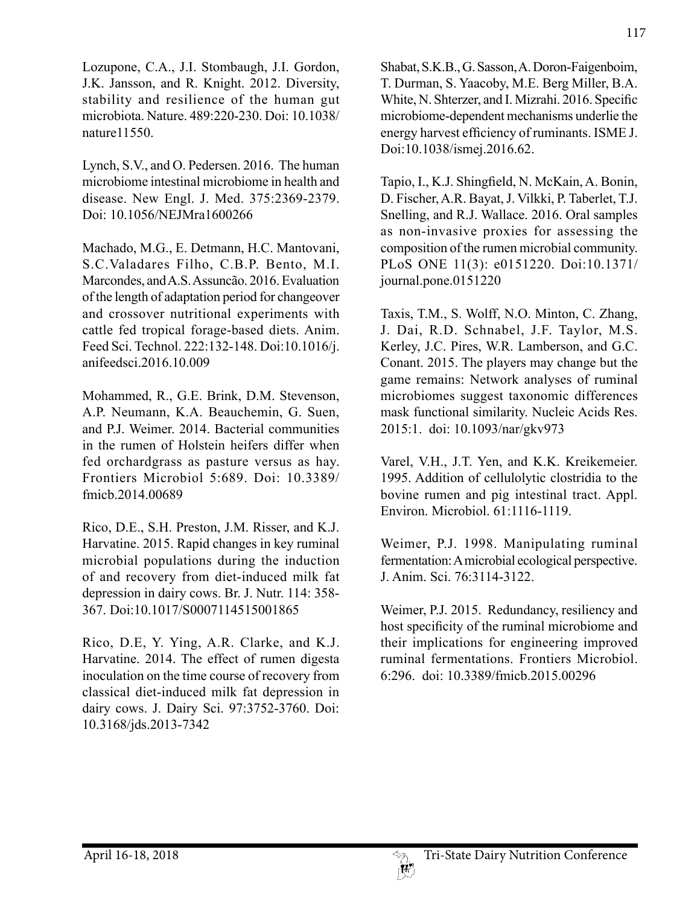Lozupone, C.A., J.I. Stombaugh, J.I. Gordon, J.K. Jansson, and R. Knight. 2012. Diversity, stability and resilience of the human gut microbiota. Nature. 489:220-230. Doi: 10.1038/ nature11550.

Lynch, S.V., and O. Pedersen. 2016. The human microbiome intestinal microbiome in health and disease. New Engl. J. Med. 375:2369-2379. Doi: 10.1056/NEJMra1600266

Machado, M.G., E. Detmann, H.C. Mantovani, S.C.Valadares Filho, C.B.P. Bento, M.I. Marcondes, and A.S. Assuncão. 2016. Evaluation of the length of adaptation period for changeover and crossover nutritional experiments with cattle fed tropical forage-based diets. Anim. Feed Sci. Technol. 222:132-148. Doi:10.1016/j. anifeedsci.2016.10.009

Mohammed, R., G.E. Brink, D.M. Stevenson, A.P. Neumann, K.A. Beauchemin, G. Suen, and P.J. Weimer. 2014. Bacterial communities in the rumen of Holstein heifers differ when fed orchardgrass as pasture versus as hay. Frontiers Microbiol 5:689. Doi: 10.3389/ fmicb.2014.00689

Rico, D.E., S.H. Preston, J.M. Risser, and K.J. Harvatine. 2015. Rapid changes in key ruminal microbial populations during the induction of and recovery from diet-induced milk fat depression in dairy cows. Br. J. Nutr. 114: 358- 367. Doi:10.1017/S0007114515001865

Rico, D.E, Y. Ying, A.R. Clarke, and K.J. Harvatine. 2014. The effect of rumen digesta inoculation on the time course of recovery from classical diet-induced milk fat depression in dairy cows. J. Dairy Sci. 97:3752-3760. Doi: 10.3168/jds.2013-7342

Shabat, S.K.B., G. Sasson, A. Doron-Faigenboim, T. Durman, S. Yaacoby, M.E. Berg Miller, B.A. White, N. Shterzer, and I. Mizrahi. 2016. Specific microbiome-dependent mechanisms underlie the energy harvest efficiency of ruminants. ISME J. Doi:10.1038/ismej.2016.62.

Tapio, I., K.J. Shingfield, N. McKain, A. Bonin, D. Fischer, A.R. Bayat, J. Vilkki, P. Taberlet, T.J. Snelling, and R.J. Wallace. 2016. Oral samples as non-invasive proxies for assessing the composition of the rumen microbial community. PLoS ONE 11(3): e0151220. Doi:10.1371/ journal.pone.0151220

Taxis, T.M., S. Wolff, N.O. Minton, C. Zhang, J. Dai, R.D. Schnabel, J.F. Taylor, M.S. Kerley, J.C. Pires, W.R. Lamberson, and G.C. Conant. 2015. The players may change but the game remains: Network analyses of ruminal microbiomes suggest taxonomic differences mask functional similarity. Nucleic Acids Res. 2015:1. doi: 10.1093/nar/gkv973

Varel, V.H., J.T. Yen, and K.K. Kreikemeier. 1995. Addition of cellulolytic clostridia to the bovine rumen and pig intestinal tract. Appl. Environ. Microbiol. 61:1116-1119.

Weimer, P.J. 1998. Manipulating ruminal fermentation: A microbial ecological perspective. J. Anim. Sci. 76:3114-3122.

Weimer, P.J. 2015. Redundancy, resiliency and host specificity of the ruminal microbiome and their implications for engineering improved ruminal fermentations. Frontiers Microbiol. 6:296. doi: 10.3389/fmicb.2015.00296

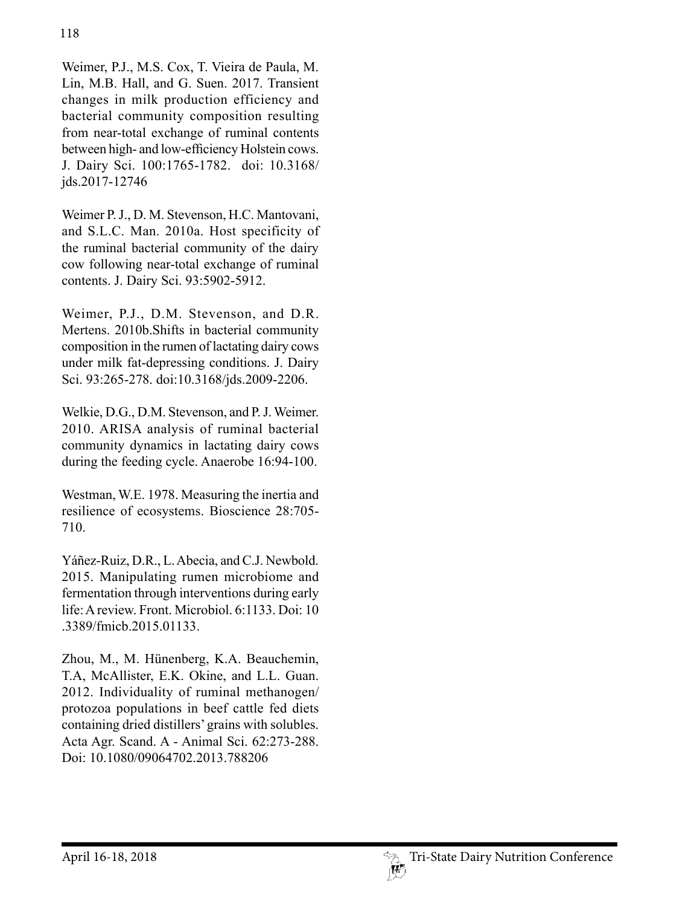Weimer, P.J., M.S. Cox, T. Vieira de Paula, M. Lin, M.B. Hall, and G. Suen. 2017. Transient changes in milk production efficiency and bacterial community composition resulting from near-total exchange of ruminal contents between high- and low-efficiency Holstein cows. J. Dairy Sci. 100:1765-1782. doi: 10.3168/ jds.2017-12746

Weimer P. J., D. M. Stevenson, H.C. Mantovani, and S.L.C. Man. 2010a. Host specificity of the ruminal bacterial community of the dairy cow following near-total exchange of ruminal contents. J. Dairy Sci. 93:5902-5912.

Weimer, P.J., D.M. Stevenson, and D.R. Mertens. 2010b.Shifts in bacterial community composition in the rumen of lactating dairy cows under milk fat-depressing conditions. J. Dairy Sci. 93:265-278. doi:10.3168/jds.2009-2206.

Welkie, D.G., D.M. Stevenson, and P. J. Weimer. 2010. ARISA analysis of ruminal bacterial community dynamics in lactating dairy cows during the feeding cycle. Anaerobe 16:94-100.

Westman, W.E. 1978. Measuring the inertia and resilience of ecosystems. Bioscience 28:705- 710.

Yáñez-Ruiz, D.R., L. Abecia, and C.J. Newbold. 2015. Manipulating rumen microbiome and fermentation through interventions during early life: A review. Front. Microbiol. 6:1133. Doi: 10 .3389/fmicb.2015.01133.

Zhou, M., M. Hünenberg, K.A. Beauchemin, T.A, McAllister, E.K. Okine, and L.L. Guan. 2012. Individuality of ruminal methanogen/ protozoa populations in beef cattle fed diets containing dried distillers' grains with solubles. Acta Agr. Scand. A - Animal Sci. 62:273-288. Doi: 10.1080/09064702.2013.788206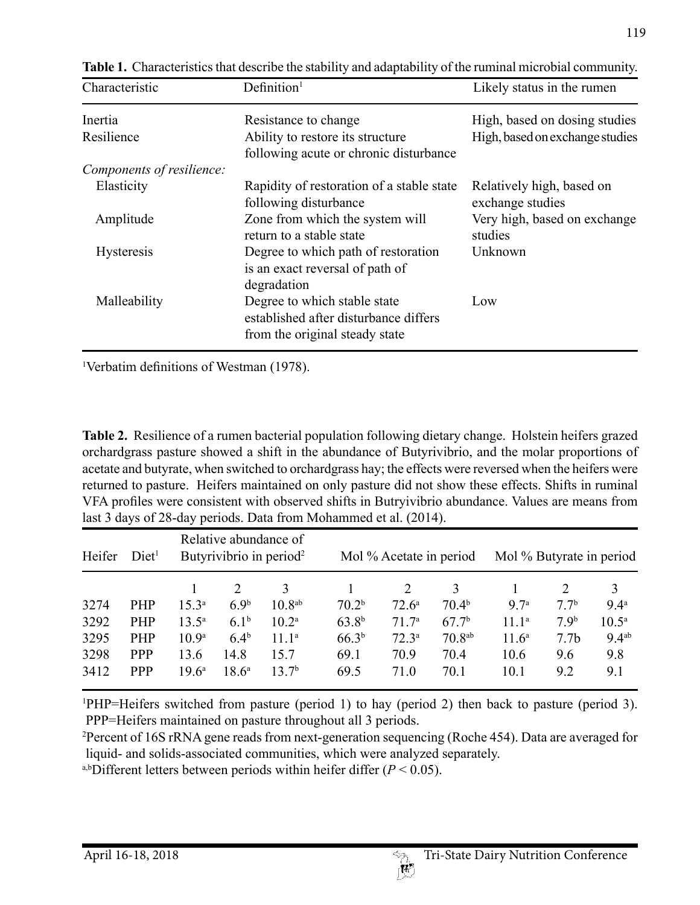| Characteristic            | Definition <sup>1</sup>                                                                                 | Likely status in the rumen                    |  |  |
|---------------------------|---------------------------------------------------------------------------------------------------------|-----------------------------------------------|--|--|
| Inertia                   | Resistance to change                                                                                    | High, based on dosing studies                 |  |  |
| Resilience                | Ability to restore its structure<br>following acute or chronic disturbance                              | High, based on exchange studies               |  |  |
| Components of resilience: |                                                                                                         |                                               |  |  |
| Elasticity                | Rapidity of restoration of a stable state<br>following disturbance                                      | Relatively high, based on<br>exchange studies |  |  |
| Amplitude                 | Zone from which the system will<br>return to a stable state                                             | Very high, based on exchange<br>studies       |  |  |
| <b>Hysteresis</b>         | Degree to which path of restoration<br>is an exact reversal of path of<br>degradation                   | Unknown                                       |  |  |
| Malleability              | Degree to which stable state<br>established after disturbance differs<br>from the original steady state | Low                                           |  |  |

**Table 1.** Characteristics that describe the stability and adaptability of the ruminal microbial community.

1 Verbatim definitions of Westman (1978).

**Table 2.** Resilience of a rumen bacterial population following dietary change. Holstein heifers grazed orchardgrass pasture showed a shift in the abundance of Butyrivibrio, and the molar proportions of acetate and butyrate, when switched to orchardgrass hay; the effects were reversed when the heifers were returned to pasture. Heifers maintained on only pasture did not show these effects. Shifts in ruminal VFA profiles were consistent with observed shifts in Butryivibrio abundance. Values are means from last 3 days of 28-day periods. Data from Mohammed et al. (2014).

| Heifer | Diet <sup>1</sup> | Relative abundance of<br>Butyrivibrio in period <sup>2</sup> |                  | Mol % Acetate in period |                   |                   | Mol % Butyrate in period |                   |                  |                   |
|--------|-------------------|--------------------------------------------------------------|------------------|-------------------------|-------------------|-------------------|--------------------------|-------------------|------------------|-------------------|
|        |                   |                                                              |                  | 3                       |                   | 2                 | 3                        |                   |                  | 3                 |
| 3274   | <b>PHP</b>        | $15.3^{\circ}$                                               | 6.9 <sup>b</sup> | 10.8 <sup>ab</sup>      | 70.2 <sup>b</sup> | $72.6^{\circ}$    | 70.4 <sup>b</sup>        | 97a               | 77 <sup>b</sup>  | 9.4 <sup>a</sup>  |
| 3292   | <b>PHP</b>        | $13.5^{\circ}$                                               | 6.1 <sup>b</sup> | $10.2^{\rm a}$          | $63.8^{b}$        | 71.7 <sup>a</sup> | 67.7 <sup>b</sup>        | $11.1^a$          | 79 <sup>b</sup>  | $10.5^{\circ}$    |
| 3295   | <b>PHP</b>        | 10.9 <sup>a</sup>                                            | $6.4^{b}$        | 11.1 <sup>a</sup>       | 66.3 <sup>b</sup> | 72.3 <sup>a</sup> | 70.8 <sup>ab</sup>       | 11.6 <sup>a</sup> | 7.7 <sub>b</sub> | 9.4 <sup>ab</sup> |
| 3298   | <b>PPP</b>        | 13.6                                                         | 14.8             | 15.7                    | 69.1              | 70.9              | 70.4                     | 10.6              | 9.6              | 9.8               |
| 3412   | <b>PPP</b>        | $19.6^{\circ}$                                               | $18.6^{\circ}$   | 13.7 <sup>b</sup>       | 69.5              | 71.0              | 70.1                     | 10.1              | 9.2              | 9.1               |

1 PHP=Heifers switched from pasture (period 1) to hay (period 2) then back to pasture (period 3). PPP=Heifers maintained on pasture throughout all 3 periods.

2 Percent of 16S rRNA gene reads from next-generation sequencing (Roche 454). Data are averaged for liquid- and solids-associated communities, which were analyzed separately.

a,bDifferent letters between periods within heifer differ  $(P < 0.05)$ .